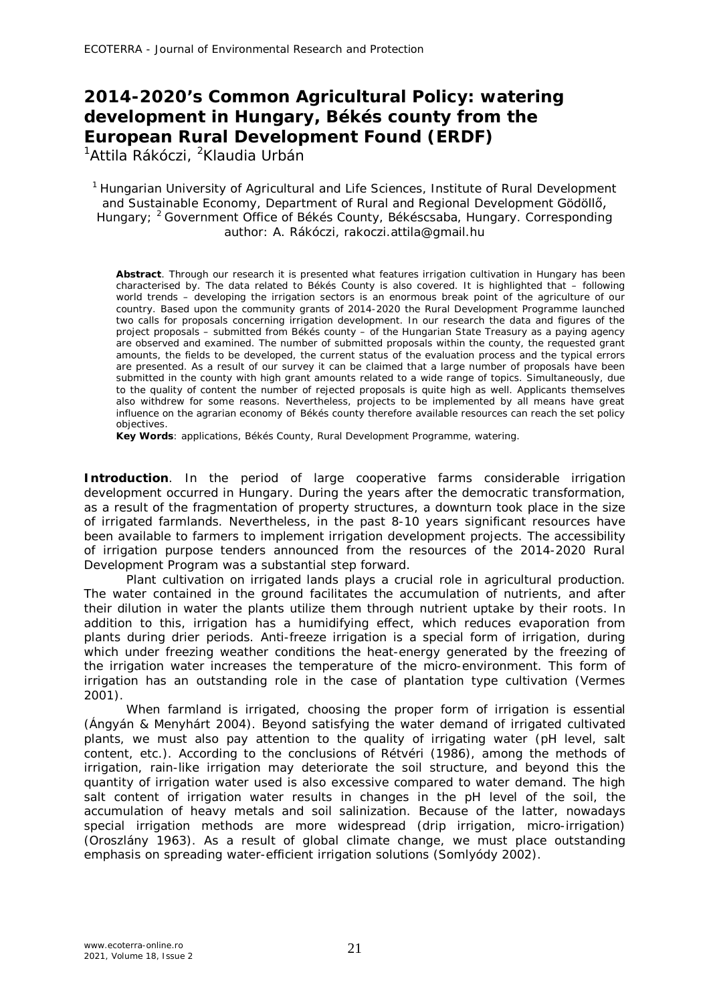## **2014-2020's Common Agricultural Policy: watering development in Hungary, Békés county from the European Rural Development Found (ERDF)**

<sup>1</sup>Attila Rákóczi, <sup>2</sup>Klaudia Urbán

<sup>1</sup> Hungarian University of Agricultural and Life Sciences, Institute of Rural Development and Sustainable Economy, Department of Rural and Regional Development Gödöllő, Hungary; <sup>2</sup> Government Office of Békés County, Békéscsaba, Hungary. Corresponding author: A. Rákóczi, rakoczi.attila@gmail.hu

**Abstract**. Through our research it is presented what features irrigation cultivation in Hungary has been characterised by. The data related to Békés County is also covered. It is highlighted that – following world trends – developing the irrigation sectors is an enormous break point of the agriculture of our country. Based upon the community grants of 2014-2020 the Rural Development Programme launched two calls for proposals concerning irrigation development. In our research the data and figures of the project proposals – submitted from Békés county – of the Hungarian State Treasury as a paying agency are observed and examined. The number of submitted proposals within the county, the requested grant amounts, the fields to be developed, the current status of the evaluation process and the typical errors are presented. As a result of our survey it can be claimed that a large number of proposals have been submitted in the county with high grant amounts related to a wide range of topics. Simultaneously, due to the quality of content the number of rejected proposals is quite high as well. Applicants themselves also withdrew for some reasons. Nevertheless, projects to be implemented by all means have great influence on the agrarian economy of Békés county therefore available resources can reach the set policy objectives.

**Key Words**: applications, Békés County, Rural Development Programme, watering.

**Introduction**. In the period of large cooperative farms considerable irrigation development occurred in Hungary. During the years after the democratic transformation, as a result of the fragmentation of property structures, a downturn took place in the size of irrigated farmlands. Nevertheless, in the past 8-10 years significant resources have been available to farmers to implement irrigation development projects. The accessibility of irrigation purpose tenders announced from the resources of the 2014-2020 Rural Development Program was a substantial step forward.

Plant cultivation on irrigated lands plays a crucial role in agricultural production. The water contained in the ground facilitates the accumulation of nutrients, and after their dilution in water the plants utilize them through nutrient uptake by their roots. In addition to this, irrigation has a humidifying effect, which reduces evaporation from plants during drier periods. Anti-freeze irrigation is a special form of irrigation, during which under freezing weather conditions the heat-energy generated by the freezing of the irrigation water increases the temperature of the micro-environment. This form of irrigation has an outstanding role in the case of plantation type cultivation (Vermes 2001).

When farmland is irrigated, choosing the proper form of irrigation is essential (Ángyán & Menyhárt 2004). Beyond satisfying the water demand of irrigated cultivated plants, we must also pay attention to the quality of irrigating water (pH level, salt content, etc.). According to the conclusions of Rétvéri (1986), among the methods of irrigation, rain-like irrigation may deteriorate the soil structure, and beyond this the quantity of irrigation water used is also excessive compared to water demand. The high salt content of irrigation water results in changes in the pH level of the soil, the accumulation of heavy metals and soil salinization. Because of the latter, nowadays special irrigation methods are more widespread (drip irrigation, micro-irrigation) (Oroszlány 1963). As a result of global climate change, we must place outstanding emphasis on spreading water-efficient irrigation solutions (Somlyódy 2002).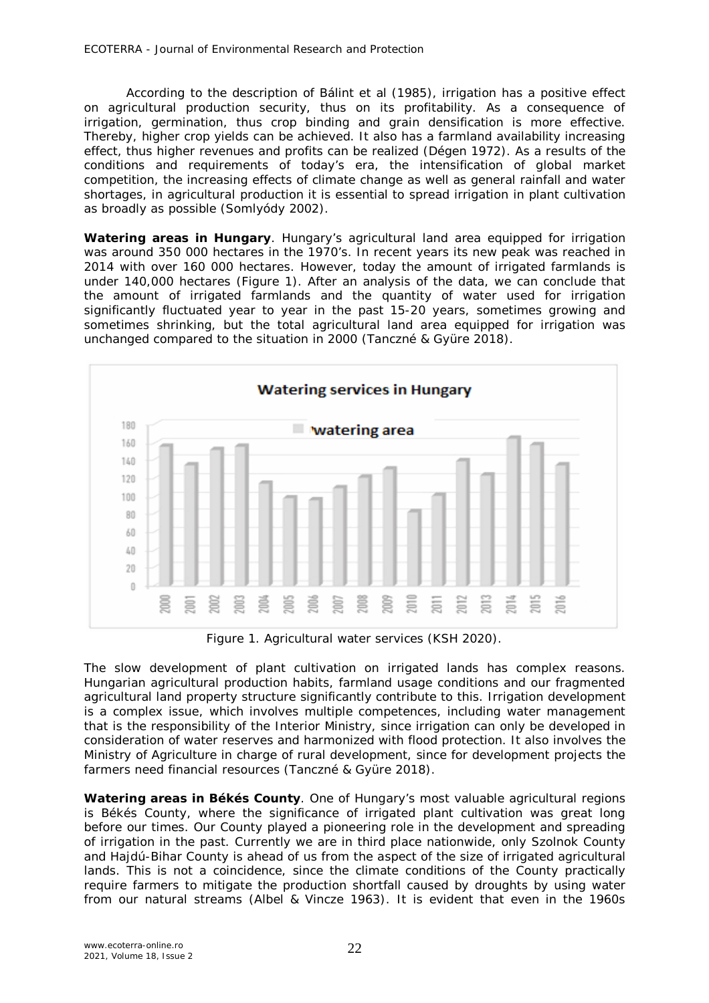According to the description of Bálint et al (1985), irrigation has a positive effect on agricultural production security, thus on its profitability. As a consequence of irrigation, germination, thus crop binding and grain densification is more effective. Thereby, higher crop yields can be achieved. It also has a farmland availability increasing effect, thus higher revenues and profits can be realized (Dégen 1972). As a results of the conditions and requirements of today's era, the intensification of global market competition, the increasing effects of climate change as well as general rainfall and water shortages, in agricultural production it is essential to spread irrigation in plant cultivation as broadly as possible (Somlyódy 2002).

*Watering areas in Hungary.* Hungary's agricultural land area equipped for irrigation was around 350 000 hectares in the 1970's. In recent years its new peak was reached in 2014 with over 160 000 hectares. However, today the amount of irrigated farmlands is under 140,000 hectares (Figure 1). After an analysis of the data, we can conclude that the amount of irrigated farmlands and the quantity of water used for irrigation significantly fluctuated year to year in the past 15-20 years, sometimes growing and sometimes shrinking, but the total agricultural land area equipped for irrigation was unchanged compared to the situation in 2000 (Tanczné & Gyüre 2018).



Figure 1. Agricultural water services (KSH 2020).

The slow development of plant cultivation on irrigated lands has complex reasons. Hungarian agricultural production habits, farmland usage conditions and our fragmented agricultural land property structure significantly contribute to this. Irrigation development is a complex issue, which involves multiple competences, including water management that is the responsibility of the Interior Ministry, since irrigation can only be developed in consideration of water reserves and harmonized with flood protection. It also involves the Ministry of Agriculture in charge of rural development, since for development projects the farmers need financial resources (Tanczné & Gyüre 2018).

**Watering areas in Békés County**. One of Hungary's most valuable agricultural regions is Békés County, where the significance of irrigated plant cultivation was great long before our times. Our County played a pioneering role in the development and spreading of irrigation in the past. Currently we are in third place nationwide, only Szolnok County and Hajdú-Bihar County is ahead of us from the aspect of the size of irrigated agricultural lands. This is not a coincidence, since the climate conditions of the County practically require farmers to mitigate the production shortfall caused by droughts by using water from our natural streams (Albel & Vincze 1963). It is evident that even in the 1960s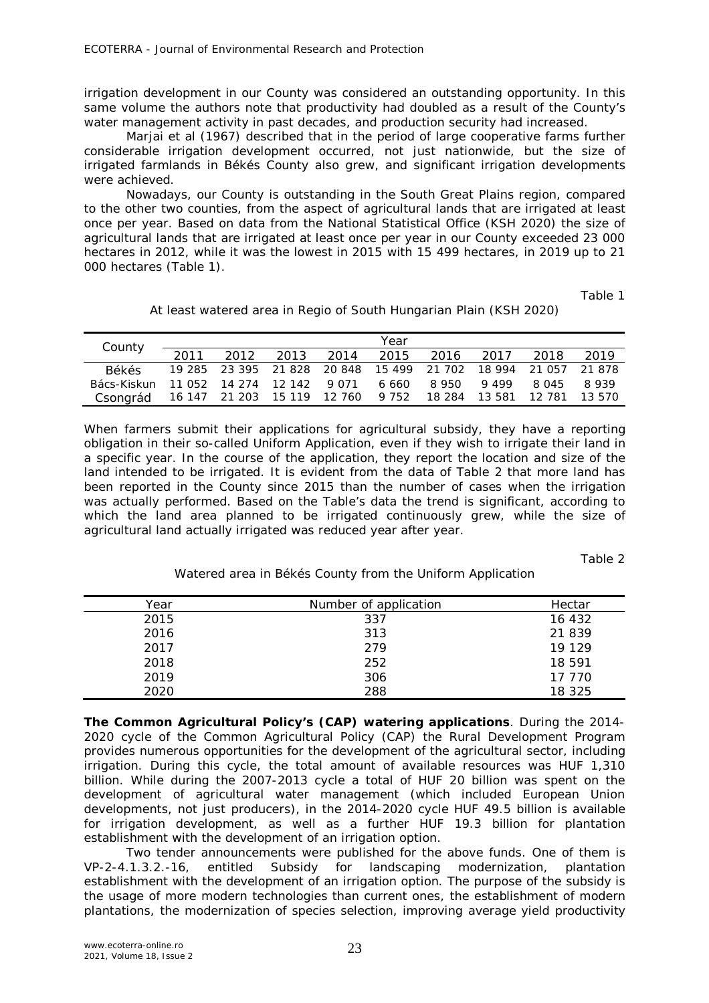irrigation development in our County was considered an outstanding opportunity. In this same volume the authors note that productivity had doubled as a result of the County's water management activity in past decades, and production security had increased.

Marjai et al (1967) described that in the period of large cooperative farms further considerable irrigation development occurred, not just nationwide, but the size of irrigated farmlands in Békés County also grew, and significant irrigation developments were achieved.

Nowadays, our County is outstanding in the South Great Plains region, compared to the other two counties, from the aspect of agricultural lands that are irrigated at least once per year. Based on data from the National Statistical Office (KSH 2020) the size of agricultural lands that are irrigated at least once per year in our County exceeded 23 000 hectares in 2012, while it was the lowest in 2015 with 15 499 hectares, in 2019 up to 21 000 hectares (Table 1).

Table 1

|  | At least watered area in Regio of South Hungarian Plain (KSH 2020) |
|--|--------------------------------------------------------------------|
|  |                                                                    |

| County       |      |                            |                                                                | Year      |        |               |       |        |
|--------------|------|----------------------------|----------------------------------------------------------------|-----------|--------|---------------|-------|--------|
|              | 2011 | 2012                       | 2013 2014                                                      | 2015      | 2016   | 2017          | 2018  | 2019   |
| <b>Rékés</b> |      |                            | 19 285 23 395 21 828 20 848 15 499 21 702 18 994 21 057 21 878 |           |        |               |       |        |
| Bács-Kiskun  |      | 11 052 14 274 12 142 9 071 |                                                                | 6660 8950 |        | 9 4 9 9       | 8 045 | 8939   |
| Csongrád     |      |                            |                                                                | 9 7 5 2   | 18 284 | 13 581 12 781 |       | 13.570 |

When farmers submit their applications for agricultural subsidy, they have a reporting obligation in their so-called Uniform Application, even if they wish to irrigate their land in a specific year. In the course of the application, they report the location and size of the land intended to be irrigated. It is evident from the data of Table 2 that more land has been reported in the County since 2015 than the number of cases when the irrigation was actually performed. Based on the Table's data the trend is significant, according to which the land area planned to be irrigated continuously grew, while the size of agricultural land actually irrigated was reduced year after year.

Table 2

Watered area in Békés County from the Uniform Application

| Year | Number of application | Hectar |
|------|-----------------------|--------|
| 2015 | 337                   | 16 432 |
| 2016 | 313                   | 21 839 |
| 2017 | 279                   | 19 129 |
| 2018 | 252                   | 18 591 |
| 2019 | 306                   | 17 770 |
| 2020 | 288                   | 18 325 |

*The Common Agricultural Policy's (CAP) watering applications.* During the 2014- 2020 cycle of the Common Agricultural Policy (CAP) the Rural Development Program provides numerous opportunities for the development of the agricultural sector, including irrigation. During this cycle, the total amount of available resources was HUF 1,310 billion. While during the 2007-2013 cycle a total of HUF 20 billion was spent on the development of agricultural water management (which included European Union developments, not just producers), in the 2014-2020 cycle HUF 49.5 billion is available for irrigation development, as well as a further HUF 19.3 billion for plantation establishment with the development of an irrigation option.

Two tender announcements were published for the above funds. One of them is VP-2-4.1.3.2.-16, entitled Subsidy for landscaping modernization, plantation establishment with the development of an irrigation option. The purpose of the subsidy is the usage of more modern technologies than current ones, the establishment of modern plantations, the modernization of species selection, improving average yield productivity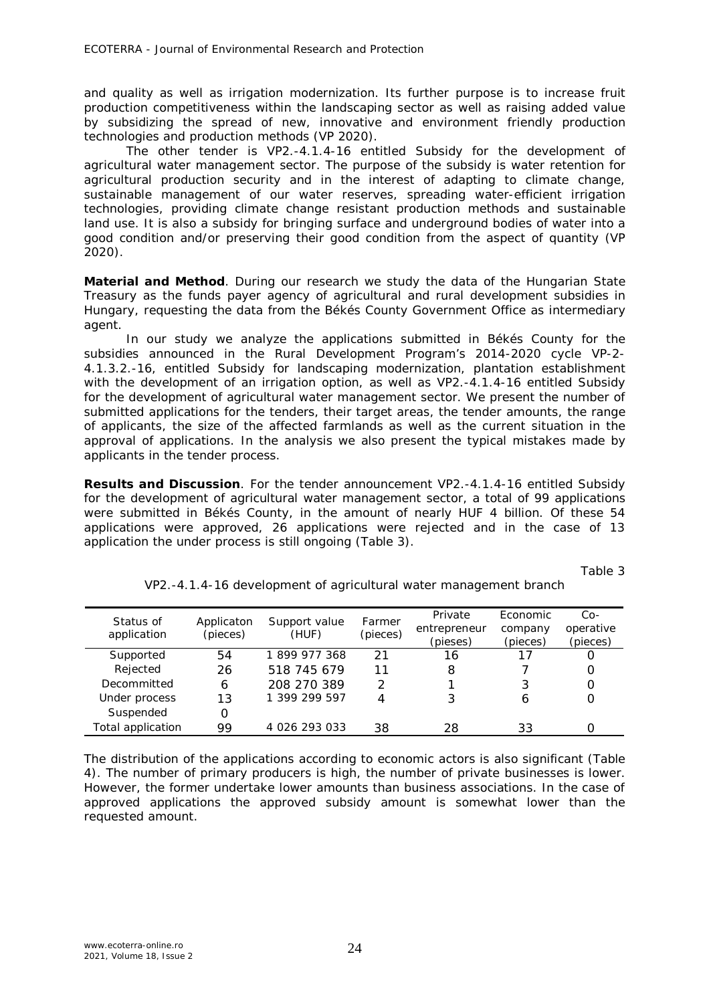and quality as well as irrigation modernization. Its further purpose is to increase fruit production competitiveness within the landscaping sector as well as raising added value by subsidizing the spread of new, innovative and environment friendly production technologies and production methods (VP 2020).

The other tender is VP2.-4.1.4-16 entitled Subsidy for the development of agricultural water management sector. The purpose of the subsidy is water retention for agricultural production security and in the interest of adapting to climate change, sustainable management of our water reserves, spreading water-efficient irrigation technologies, providing climate change resistant production methods and sustainable land use. It is also a subsidy for bringing surface and underground bodies of water into a good condition and/or preserving their good condition from the aspect of quantity (VP 2020).

**Material and Method**. During our research we study the data of the Hungarian State Treasury as the funds payer agency of agricultural and rural development subsidies in Hungary, requesting the data from the Békés County Government Office as intermediary agent.

In our study we analyze the applications submitted in Békés County for the subsidies announced in the Rural Development Program's 2014-2020 cycle *VP-2- 4.1.3.2.-16, entitled Subsidy for landscaping modernization, plantation establishment with the development of an irrigation option*, as well as *VP2.-4.1.4-16 entitled Subsidy for the development of agricultural water management sector*. We present the number of submitted applications for the tenders, their target areas, the tender amounts, the range of applicants, the size of the affected farmlands as well as the current situation in the approval of applications. In the analysis we also present the typical mistakes made by applicants in the tender process.

**Results and Discussion**. For the tender announcement VP2.-4.1.4-16 entitled Subsidy for the development of agricultural water management sector, a total of 99 applications were submitted in Békés County, in the amount of nearly HUF 4 billion. Of these 54 applications were approved, 26 applications were rejected and in the case of 13 application the under process is still ongoing (Table 3).

Table 3

| Status of         | Applicaton | Support value |                    | Private      | Economic | $Co-$     |
|-------------------|------------|---------------|--------------------|--------------|----------|-----------|
| application       | (pieces)   | (HUF)         | Farmer<br>(pieces) | entrepreneur | company  | operative |
|                   |            |               |                    | (pieses)     | (pieces) | (pieces)  |
| Supported         | 54         | 1899977368    | 21                 | 16           |          | O         |
| Rejected          | 26         | 518 745 679   | 11                 | 8            |          | O         |
| Decommitted       | 6          | 208 270 389   |                    |              |          | 0         |
| Under process     | 13         | 1 399 299 597 |                    |              | 6        | 0         |
| Suspended         | ი          |               |                    |              |          |           |
| Total application | 99         | 4 026 293 033 | 38                 | 28           | 33       |           |

VP2.-4.1.4-16 development of agricultural water management branch

The distribution of the applications according to economic actors is also significant (Table 4). The number of primary producers is high, the number of private businesses is lower. However, the former undertake lower amounts than business associations. In the case of approved applications the approved subsidy amount is somewhat lower than the requested amount.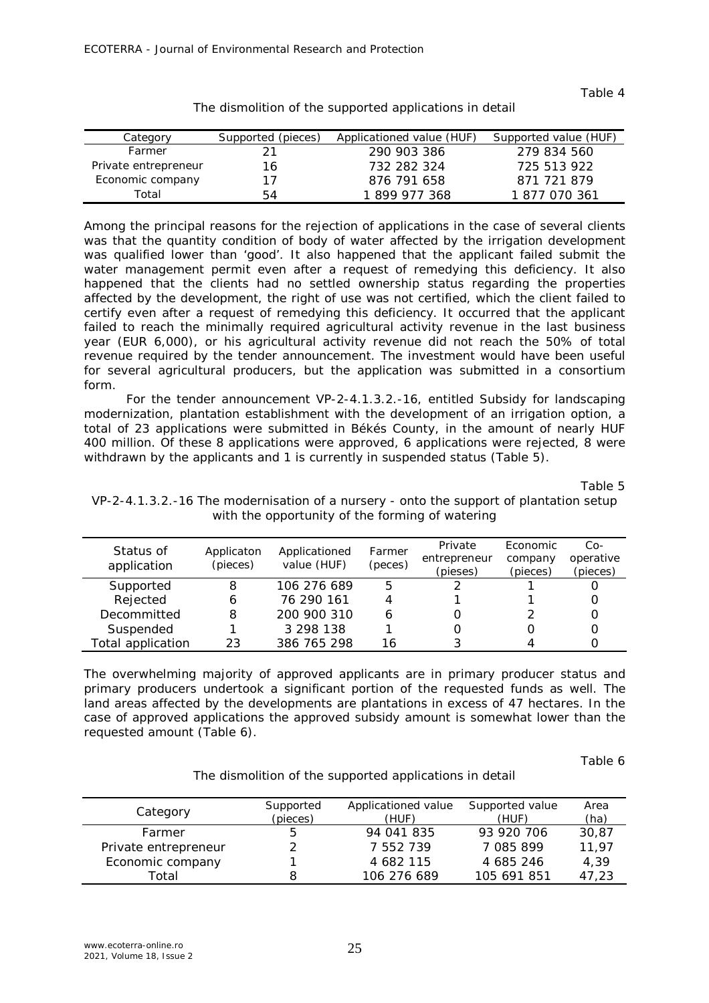Table 4

| Category             | Supported (pieces) | Applicationed value (HUF) | Supported value (HUF) |
|----------------------|--------------------|---------------------------|-----------------------|
| Farmer               |                    | 290 903 386               | 279 834 560           |
| Private entrepreneur | 16                 | 732 282 324               | 725 513 922           |
| Economic company     | 17                 | 876 791 658               | 871 721 879           |
| Total                | 54                 | 1899 977 368              | 1 877 070 361         |

The dismolition of the supported applications in detail

Among the principal reasons for the rejection of applications in the case of several clients was that the quantity condition of body of water affected by the irrigation development was qualified lower than 'good'. It also happened that the applicant failed submit the water management permit even after a request of remedying this deficiency. It also happened that the clients had no settled ownership status regarding the properties affected by the development, the right of use was not certified, which the client failed to certify even after a request of remedying this deficiency. It occurred that the applicant failed to reach the minimally required agricultural activity revenue in the last business year (EUR 6,000), or his agricultural activity revenue did not reach the 50% of total revenue required by the tender announcement. The investment would have been useful for several agricultural producers, but the application was submitted in a consortium form.

For the tender announcement VP-2-4.1.3.2.-16, entitled Subsidy for landscaping modernization, plantation establishment with the development of an irrigation option, a total of 23 applications were submitted in Békés County, in the amount of nearly HUF 400 million. Of these 8 applications were approved, 6 applications were rejected, 8 were withdrawn by the applicants and 1 is currently in suspended status (Table 5).

Table 5

| Status of         | Applicaton | Applicationed | Farmer  | Private      | Economic | $Co-$     |
|-------------------|------------|---------------|---------|--------------|----------|-----------|
|                   |            |               |         | entrepreneur | company  | operative |
| application       | (pieces)   | value (HUF)   | (peces) | (pieses)     | (pieces) | (pieces)  |
| Supported         | 8          | 106 276 689   | 5       |              |          |           |
| Rejected          | b          | 76 290 161    | 4       |              |          |           |
| Decommitted       | 8          | 200 900 310   | 6       |              |          |           |
| Suspended         |            | 3 298 138     |         |              |          |           |
| Total application | 23         | 386 765 298   | 16      |              |          |           |

VP-2-4.1.3.2.-16 The modernisation of a nursery - onto the support of plantation setup with the opportunity of the forming of watering

The overwhelming majority of approved applicants are in primary producer status and primary producers undertook a significant portion of the requested funds as well. The land areas affected by the developments are plantations in excess of 47 hectares. In the case of approved applications the approved subsidy amount is somewhat lower than the requested amount (Table 6).

Table 6

The dismolition of the supported applications in detail

|                      | Supported | Applicationed value | Supported value | Area  |
|----------------------|-----------|---------------------|-----------------|-------|
| Category             | (pieces)  | (HUF)               | (HUF)           | (ha)  |
| Farmer               |           | 94 041 835          | 93 920 706      | 30.87 |
| Private entrepreneur |           | 7 552 739           | 7 085 899       | 11,97 |
| Economic company     |           | 4 682 115           | 4 685 246       | 4,39  |
| Total                |           | 106 276 689         | 105 691 851     | 47.23 |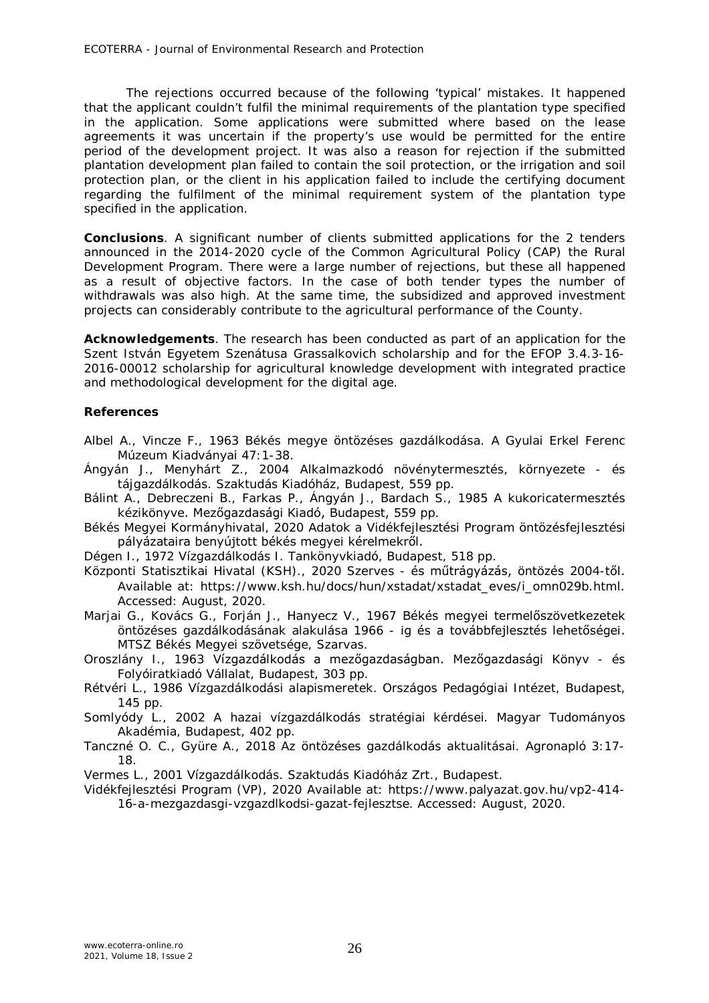The rejections occurred because of the following 'typical' mistakes. It happened that the applicant couldn't fulfil the minimal requirements of the plantation type specified in the application. Some applications were submitted where based on the lease agreements it was uncertain if the property's use would be permitted for the entire period of the development project. It was also a reason for rejection if the submitted plantation development plan failed to contain the soil protection, or the irrigation and soil protection plan, or the client in his application failed to include the certifying document regarding the fulfilment of the minimal requirement system of the plantation type specified in the application.

**Conclusions**. A significant number of clients submitted applications for the 2 tenders announced in the 2014-2020 cycle of the Common Agricultural Policy (CAP) the Rural Development Program. There were a large number of rejections, but these all happened as a result of objective factors. In the case of both tender types the number of withdrawals was also high. At the same time, the subsidized and approved investment projects can considerably contribute to the agricultural performance of the County.

**Acknowledgements**. The research has been conducted as part of an application for the Szent István Egyetem Szenátusa Grassalkovich scholarship and for the EFOP 3.4.3-16- 2016-00012 scholarship for agricultural knowledge development with integrated practice and methodological development for the digital age.

## **References**

- Albel A., Vincze F., 1963 Békés megye öntözéses gazdálkodása. A Gyulai Erkel Ferenc Múzeum Kiadványai 47:1-38.
- Ángyán J., Menyhárt Z., 2004 Alkalmazkodó növénytermesztés, környezete és tájgazdálkodás. Szaktudás Kiadóház, Budapest, 559 pp.
- Bálint A., Debreczeni B., Farkas P., Ángyán J., Bardach S., 1985 A kukoricatermesztés kézikönyve. Mezőgazdasági Kiadó, Budapest, 559 pp.
- Békés Megyei Kormányhivatal, 2020 Adatok a Vidékfejlesztési Program öntözésfejlesztési pályázataira benyújtott békés megyei kérelmekről.
- Dégen I., 1972 Vízgazdálkodás I. Tankönyvkiadó, Budapest, 518 pp.
- Központi Statisztikai Hivatal (KSH)., 2020 Szerves és műtrágyázás, öntözés 2004-től. Available at: https://www.ksh.hu/docs/hun/xstadat/xstadat\_eves/i\_omn029b.html. Accessed: August, 2020.
- Marjai G., Kovács G., Forján J., Hanyecz V., 1967 Békés megyei termelőszövetkezetek öntözéses gazdálkodásának alakulása 1966 - ig és a továbbfejlesztés lehetőségei. MTSZ Békés Megyei szövetsége, Szarvas.
- Oroszlány I., 1963 Vízgazdálkodás a mezőgazdaságban. Mezőgazdasági Könyv és Folyóiratkiadó Vállalat, Budapest, 303 pp.
- Rétvéri L., 1986 Vízgazdálkodási alapismeretek. Országos Pedagógiai Intézet, Budapest, 145 pp.
- Somlyódy L., 2002 A hazai vízgazdálkodás stratégiai kérdései. Magyar Tudományos Akadémia, Budapest, 402 pp.
- Tanczné O. C., Gyüre A., 2018 Az öntözéses gazdálkodás aktualitásai. Agronapló 3:17- 18.

Vermes L., 2001 Vízgazdálkodás. Szaktudás Kiadóház Zrt., Budapest.

Vidékfejlesztési Program (VP), 2020 Available at: https://www.palyazat.gov.hu/vp2-414- 16-a-mezgazdasgi-vzgazdlkodsi-gazat-fejlesztse. Accessed: August, 2020.